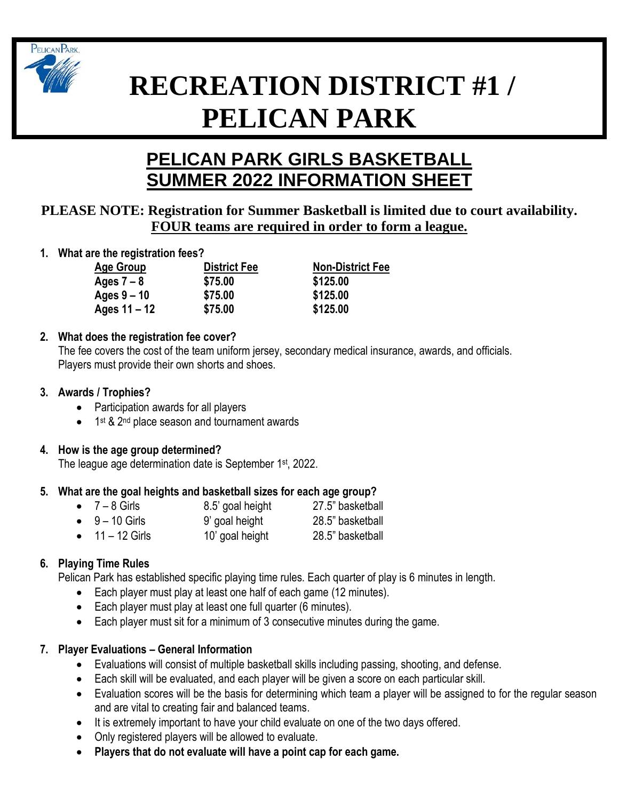

# **RECREATION DISTRICT #1 / PELICAN PARK**

# **PELICAN PARK GIRLS BASKETBALL SUMMER 2022 INFORMATION SHEET**

# **PLEASE NOTE: Registration for Summer Basketball is limited due to court availability. FOUR teams are required in order to form a league.**

**1. What are the registration fees?**

**Ages 7 – 8 \$75.00 \$125.00 Ages 9 – 10 \$75.00 \$125.00 Ages 11 – 12 \$75.00 \$125.00**

**Age Group District Fee Non-District Fee**

# **2. What does the registration fee cover?**

The fee covers the cost of the team uniform jersey, secondary medical insurance, awards, and officials. Players must provide their own shorts and shoes.

#### **3. Awards / Trophies?**

- Participation awards for all players
- 1<sup>st</sup> & 2<sup>nd</sup> place season and tournament awards

# **4. How is the age group determined?**

The league age determination date is September 1<sup>st</sup>, 2022.

#### **5. What are the goal heights and basketball sizes for each age group?**

| $\bullet$ 7 – 8 Girls   | 8.5' goal height | 27.5" basketball |
|-------------------------|------------------|------------------|
| $\bullet$ 9 – 10 Girls  | 9' goal height   | 28.5" basketball |
| $\bullet$ 11 – 12 Girls | 10' goal height  | 28.5" basketball |

# **6. Playing Time Rules**

Pelican Park has established specific playing time rules. Each quarter of play is 6 minutes in length.

- Each player must play at least one half of each game (12 minutes).
- Each player must play at least one full quarter (6 minutes).
- Each player must sit for a minimum of 3 consecutive minutes during the game.

# **7. Player Evaluations – General Information**

- Evaluations will consist of multiple basketball skills including passing, shooting, and defense.
- Each skill will be evaluated, and each player will be given a score on each particular skill.
- Evaluation scores will be the basis for determining which team a player will be assigned to for the regular season and are vital to creating fair and balanced teams.
- It is extremely important to have your child evaluate on one of the two days offered.
- Only registered players will be allowed to evaluate.
- **Players that do not evaluate will have a point cap for each game.**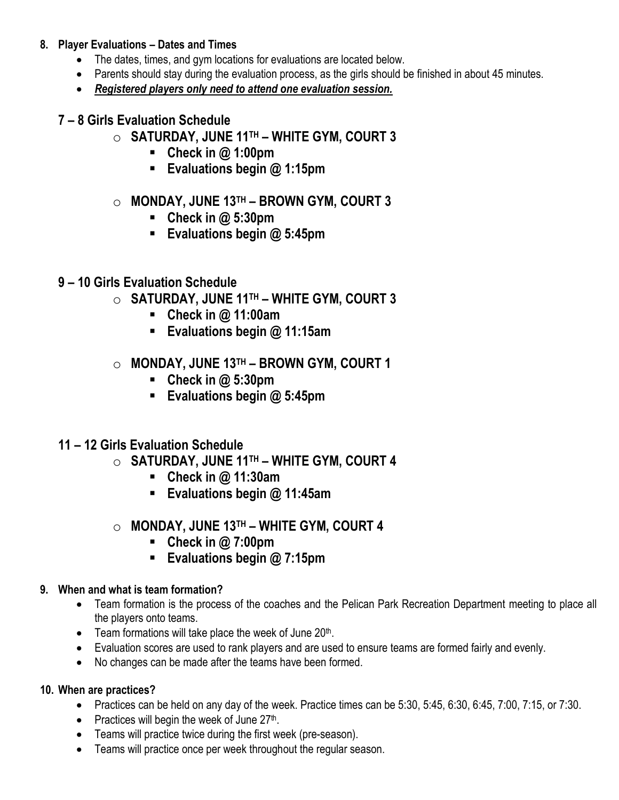#### **8. Player Evaluations – Dates and Times**

- The dates, times, and gym locations for evaluations are located below.
- Parents should stay during the evaluation process, as the girls should be finished in about 45 minutes.
- *Registered players only need to attend one evaluation session.*
- **7 – 8 Girls Evaluation Schedule**
	- o **SATURDAY, JUNE 11TH – WHITE GYM, COURT 3**
		- **Check in @ 1:00pm**
		- **Evaluations begin @ 1:15pm**
	- o **MONDAY, JUNE 13TH – BROWN GYM, COURT 3**
		- **Check in @ 5:30pm**
		- **Evaluations begin @ 5:45pm**
- **9 – 10 Girls Evaluation Schedule**
	- o **SATURDAY, JUNE 11TH – WHITE GYM, COURT 3**
		- **Check in @ 11:00am**
		- **Evaluations begin @ 11:15am**
	- o **MONDAY, JUNE 13TH – BROWN GYM, COURT 1**
		- **Check in @ 5:30pm**
		- **Evaluations begin @ 5:45pm**
- **11 – 12 Girls Evaluation Schedule**
	- o **SATURDAY, JUNE 11TH – WHITE GYM, COURT 4**
		- **Check in @ 11:30am**
		- **Evaluations begin @ 11:45am**
	- o **MONDAY, JUNE 13TH – WHITE GYM, COURT 4**
		- **Check in @ 7:00pm**
		- **Evaluations begin @ 7:15pm**

#### **9. When and what is team formation?**

- Team formation is the process of the coaches and the Pelican Park Recreation Department meeting to place all the players onto teams.
- $\bullet$  Team formations will take place the week of June 20<sup>th</sup>.
- Evaluation scores are used to rank players and are used to ensure teams are formed fairly and evenly.
- No changes can be made after the teams have been formed.

#### **10. When are practices?**

- Practices can be held on any day of the week. Practice times can be 5:30, 5:45, 6:30, 6:45, 7:00, 7:15, or 7:30.
- Practices will begin the week of June 27<sup>th</sup>.
- Teams will practice twice during the first week (pre-season).
- Teams will practice once per week throughout the regular season.